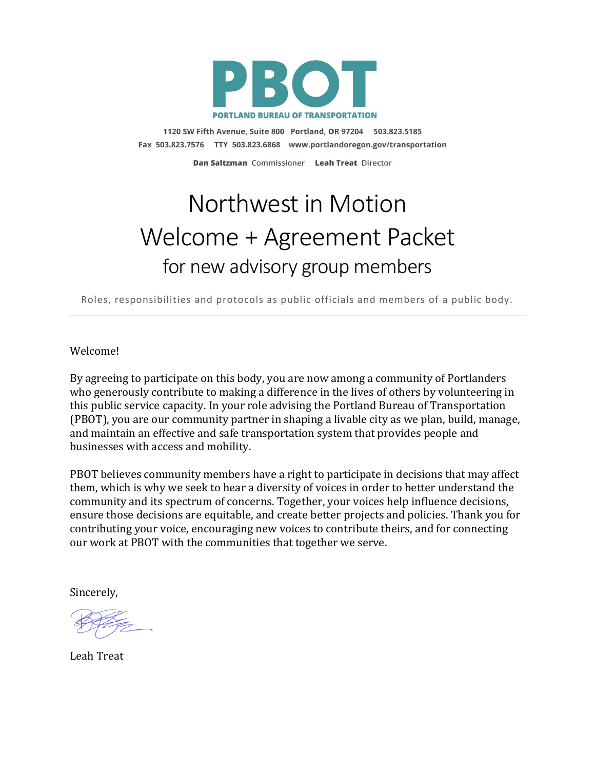

1120 SW Fifth Avenue, Suite 800 Portland, OR 97204 503.823.5185 Fax 503.823.7576 TTY 503.823.6868 www.portlandoregon.gov/transportation

Dan Saltzman Commissioner Leah Treat Director

## Northwest in Motion Welcome + Agreement Packet for new advisory group members

Roles, responsibilities and protocols as public officials and members of a public body.

Welcome!

By agreeing to participate on this body, you are now among a community of Portlanders who generously contribute to making a difference in the lives of others by volunteering in this public service capacity. In your role advising the Portland Bureau of Transportation (PBOT), you are our community partner in shaping a livable city as we plan, build, manage, and maintain an effective and safe transportation system that provides people and businesses with access and mobility.

PBOT believes community members have a right to participate in decisions that may affect them, which is why we seek to hear a diversity of voices in order to better understand the community and its spectrum of concerns. Together, your voices help influence decisions, ensure those decisions are equitable, and create better projects and policies. Thank you for contributing your voice, encouraging new voices to contribute theirs, and for connecting our work at PBOT with the communities that together we serve.

Sincerely,

Leah Treat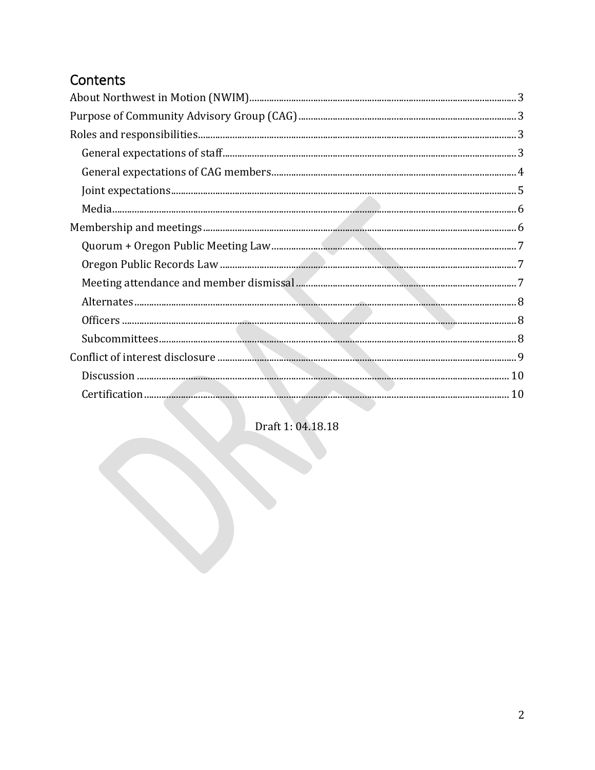## Contents

Draft 1: 04.18.18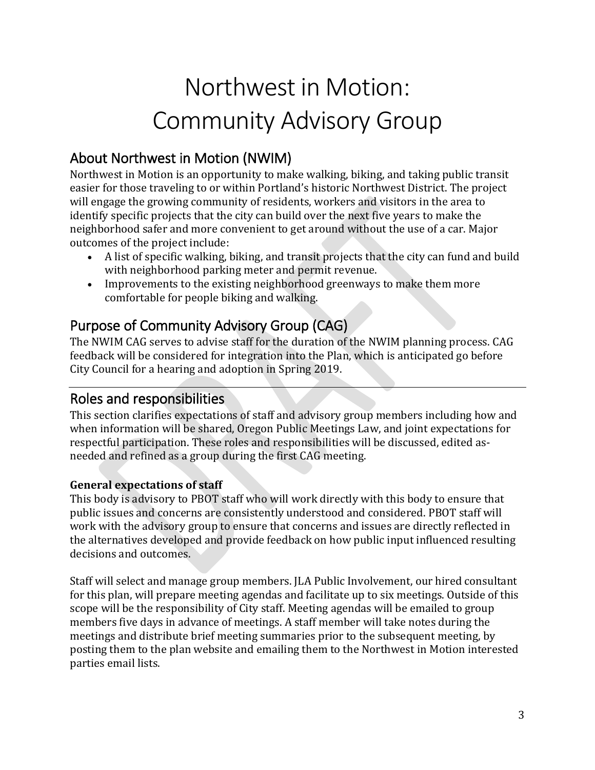# Northwest in Motion: Community Advisory Group

## <span id="page-2-0"></span>About Northwest in Motion (NWIM)

Northwest in Motion is an opportunity to make walking, biking, and taking public transit easier for those traveling to or within Portland's historic Northwest District. The project will engage the growing community of residents, workers and visitors in the area to identify specific projects that the city can build over the next five years to make the neighborhood safer and more convenient to get around without the use of a car. Major outcomes of the project include:

- A list of specific walking, biking, and transit projects that the city can fund and build with neighborhood parking meter and permit revenue.
- Improvements to the existing neighborhood greenways to make them more comfortable for people biking and walking.

## <span id="page-2-1"></span>Purpose of Community Advisory Group (CAG)

The NWIM CAG serves to advise staff for the duration of the NWIM planning process. CAG feedback will be considered for integration into the Plan, which is anticipated go before City Council for a hearing and adoption in Spring 2019.

## <span id="page-2-2"></span>Roles and responsibilities

This section clarifies expectations of staff and advisory group members including how and when information will be shared, Oregon Public Meetings Law, and joint expectations for respectful participation. These roles and responsibilities will be discussed, edited asneeded and refined as a group during the first CAG meeting.

## <span id="page-2-3"></span>**General expectations of staff**

This body is advisory to PBOT staff who will work directly with this body to ensure that public issues and concerns are consistently understood and considered. PBOT staff will work with the advisory group to ensure that concerns and issues are directly reflected in the alternatives developed and provide feedback on how public input influenced resulting decisions and outcomes.

Staff will select and manage group members. JLA Public Involvement, our hired consultant for this plan, will prepare meeting agendas and facilitate up to six meetings. Outside of this scope will be the responsibility of City staff. Meeting agendas will be emailed to group members five days in advance of meetings. A staff member will take notes during the meetings and distribute brief meeting summaries prior to the subsequent meeting, by posting them to the plan website and emailing them to the Northwest in Motion interested parties email lists.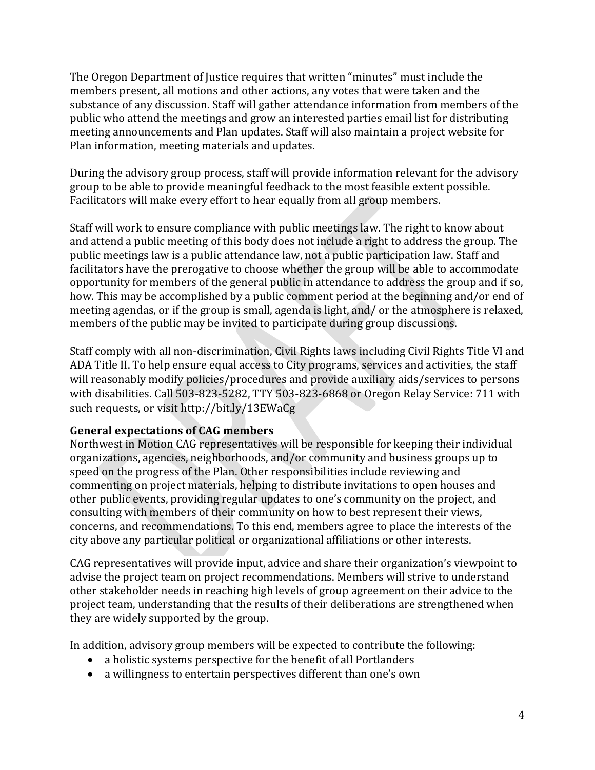The Oregon Department of Justice requires that written "minutes" must include the members present, all motions and other actions, any votes that were taken and the substance of any discussion. Staff will gather attendance information from members of the public who attend the meetings and grow an interested parties email list for distributing meeting announcements and Plan updates. Staff will also maintain a project website for Plan information, meeting materials and updates.

During the advisory group process, staff will provide information relevant for the advisory group to be able to provide meaningful feedback to the most feasible extent possible. Facilitators will make every effort to hear equally from all group members.

Staff will work to ensure compliance with public meetings law. The right to know about and attend a public meeting of this body does not include a right to address the group. The public meetings law is a public attendance law, not a public participation law. Staff and facilitators have the prerogative to choose whether the group will be able to accommodate opportunity for members of the general public in attendance to address the group and if so, how. This may be accomplished by a public comment period at the beginning and/or end of meeting agendas, or if the group is small, agenda is light, and/ or the atmosphere is relaxed, members of the public may be invited to participate during group discussions.

Staff comply with all non‐discrimination, Civil Rights laws including Civil Rights Title VI and ADA Title II. To help ensure equal access to City programs, services and activities, the staff will reasonably modify policies/procedures and provide auxiliary aids/services to persons with disabilities. Call 503-823-5282, TTY 503-823-6868 or Oregon Relay Service: 711 with such requests, or visit<http://bit.ly/13EWaCg>

### <span id="page-3-0"></span>**General expectations of CAG members**

Northwest in Motion CAG representatives will be responsible for keeping their individual organizations, agencies, neighborhoods, and/or community and business groups up to speed on the progress of the Plan. Other responsibilities include reviewing and commenting on project materials, helping to distribute invitations to open houses and other public events, providing regular updates to one's community on the project, and consulting with members of their community on how to best represent their views, concerns, and recommendations. To this end, members agree to place the interests of the city above any particular political or organizational affiliations or other interests.

CAG representatives will provide input, advice and share their organization's viewpoint to advise the project team on project recommendations. Members will strive to understand other stakeholder needs in reaching high levels of group agreement on their advice to the project team, understanding that the results of their deliberations are strengthened when they are widely supported by the group.

In addition, advisory group members will be expected to contribute the following:

- a holistic systems perspective for the benefit of all Portlanders
- a willingness to entertain perspectives different than one's own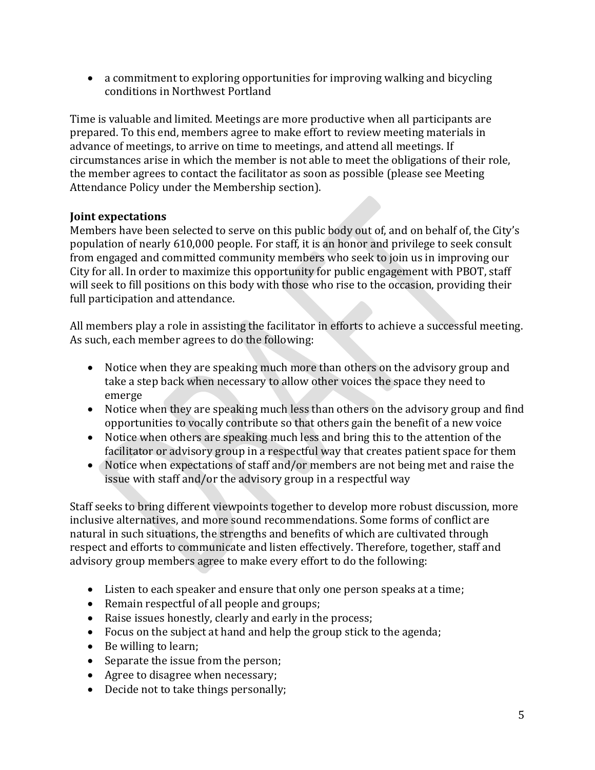a commitment to exploring opportunities for improving walking and bicycling conditions in Northwest Portland

Time is valuable and limited. Meetings are more productive when all participants are prepared. To this end, members agree to make effort to review meeting materials in advance of meetings, to arrive on time to meetings, and attend all meetings. If circumstances arise in which the member is not able to meet the obligations of their role, the member agrees to contact the facilitator as soon as possible (please see Meeting Attendance Policy under the Membership section).

## <span id="page-4-0"></span>**Joint expectations**

Members have been selected to serve on this public body out of, and on behalf of, the City's population of nearly 610,000 people. For staff, it is an honor and privilege to seek consult from engaged and committed community members who seek to join us in improving our City for all. In order to maximize this opportunity for public engagement with PBOT, staff will seek to fill positions on this body with those who rise to the occasion, providing their full participation and attendance.

All members play a role in assisting the facilitator in efforts to achieve a successful meeting. As such, each member agrees to do the following:

- Notice when they are speaking much more than others on the advisory group and take a step back when necessary to allow other voices the space they need to emerge
- Notice when they are speaking much less than others on the advisory group and find opportunities to vocally contribute so that others gain the benefit of a new voice
- Notice when others are speaking much less and bring this to the attention of the facilitator or advisory group in a respectful way that creates patient space for them
- Notice when expectations of staff and/or members are not being met and raise the issue with staff and/or the advisory group in a respectful way

Staff seeks to bring different viewpoints together to develop more robust discussion, more inclusive alternatives, and more sound recommendations. Some forms of conflict are natural in such situations, the strengths and benefits of which are cultivated through respect and efforts to communicate and listen effectively. Therefore, together, staff and advisory group members agree to make every effort to do the following:

- Listen to each speaker and ensure that only one person speaks at a time;
- Remain respectful of all people and groups;
- Raise issues honestly, clearly and early in the process;
- Focus on the subject at hand and help the group stick to the agenda;
- Be willing to learn;
- Separate the issue from the person;
- Agree to disagree when necessary;
- Decide not to take things personally;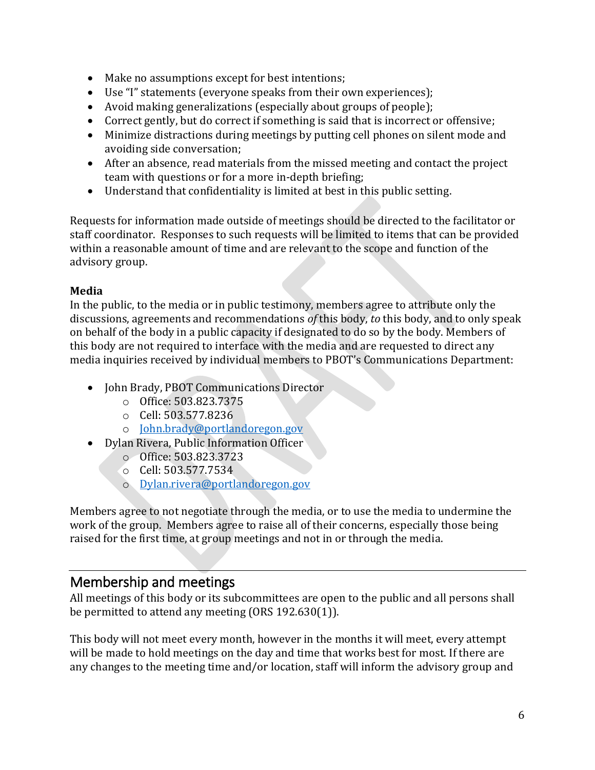- Make no assumptions except for best intentions;
- Use "I" statements (everyone speaks from their own experiences);
- Avoid making generalizations (especially about groups of people);
- Correct gently, but do correct if something is said that is incorrect or offensive;
- Minimize distractions during meetings by putting cell phones on silent mode and avoiding side conversation;
- After an absence, read materials from the missed meeting and contact the project team with questions or for a more in-depth briefing;
- Understand that confidentiality is limited at best in this public setting.

Requests for information made outside of meetings should be directed to the facilitator or staff coordinator. Responses to such requests will be limited to items that can be provided within a reasonable amount of time and are relevant to the scope and function of the advisory group.

## <span id="page-5-0"></span>**Media**

In the public, to the media or in public testimony, members agree to attribute only the discussions, agreements and recommendations *of* this body, *to* this body, and to only speak on behalf of the body in a public capacity if designated to do so by the body. Members of this body are not required to interface with the media and are requested to direct any media inquiries received by individual members to PBOT's Communications Department:

- John Brady, PBOT Communications Director
	- o Office: 503.823.7375
	- o Cell: 503.577.8236
	- o [John.brady@portlandoregon.gov](mailto:John.brady@portlandoregon.gov)
- Dylan Rivera, Public Information Officer
	- o Office: 503.823.3723
	- o Cell: 503.577.7534
	- o [Dylan.rivera@portlandoregon.gov](mailto:Dylan.rivera@portlandoregon.gov)

Members agree to not negotiate through the media, or to use the media to undermine the work of the group. Members agree to raise all of their concerns, especially those being raised for the first time, at group meetings and not in or through the media.

## <span id="page-5-1"></span>Membership and meetings

All meetings of this body or its subcommittees are open to the public and all persons shall be permitted to attend any meeting (ORS 192.630(1)).

This body will not meet every month, however in the months it will meet, every attempt will be made to hold meetings on the day and time that works best for most. If there are any changes to the meeting time and/or location, staff will inform the advisory group and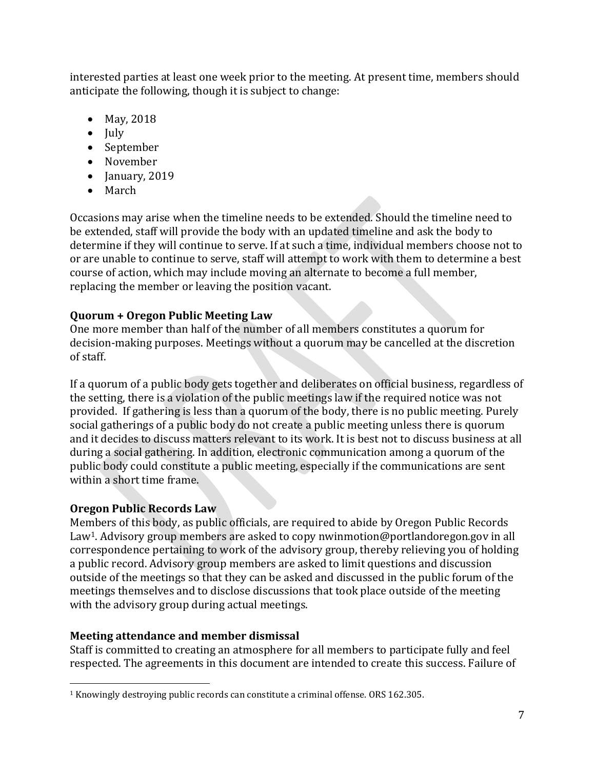interested parties at least one week prior to the meeting. At present time, members should anticipate the following, though it is subject to change:

- May, 2018
- $\bullet$  July
- September
- November
- $\bullet$  January, 2019
- March

Occasions may arise when the timeline needs to be extended. Should the timeline need to be extended, staff will provide the body with an updated timeline and ask the body to determine if they will continue to serve. If at such a time, individual members choose not to or are unable to continue to serve, staff will attempt to work with them to determine a best course of action, which may include moving an alternate to become a full member, replacing the member or leaving the position vacant.

## <span id="page-6-0"></span>**Quorum + Oregon Public Meeting Law**

One more member than half of the number of all members constitutes a quorum for decision-making purposes. Meetings without a quorum may be cancelled at the discretion of staff.

If a quorum of a public body gets together and deliberates on official business, regardless of the setting, there is a violation of the public meetings law if the required notice was not provided. If gathering is less than a quorum of the body, there is no public meeting. Purely social gatherings of a public body do not create a public meeting unless there is quorum and it decides to discuss matters relevant to its work. It is best not to discuss business at all during a social gathering. In addition, electronic communication among a quorum of the public body could constitute a public meeting, especially if the communications are sent within a short time frame.

### <span id="page-6-1"></span>**Oregon Public Records Law**

l

Members of this body, as public officials, are required to abide by Oregon Public Records Law<sup>1</sup>. Advisory group members are asked to copy nwinmotion@portlandoregon.gov in all correspondence pertaining to work of the advisory group, thereby relieving you of holding a public record. Advisory group members are asked to limit questions and discussion outside of the meetings so that they can be asked and discussed in the public forum of the meetings themselves and to disclose discussions that took place outside of the meeting with the advisory group during actual meetings.

## <span id="page-6-2"></span>**Meeting attendance and member dismissal**

Staff is committed to creating an atmosphere for all members to participate fully and feel respected. The agreements in this document are intended to create this success. Failure of

<sup>&</sup>lt;sup>1</sup> Knowingly destroying public records can constitute a criminal offense. ORS 162.305.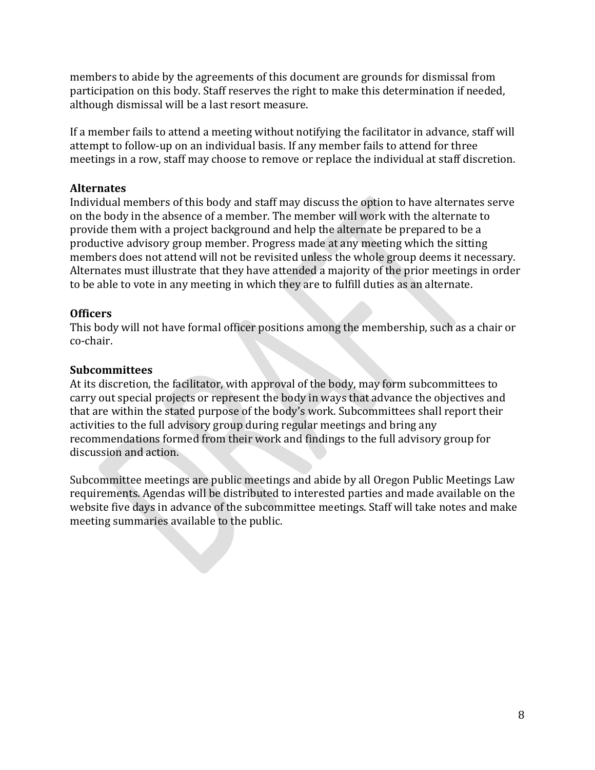members to abide by the agreements of this document are grounds for dismissal from participation on this body. Staff reserves the right to make this determination if needed, although dismissal will be a last resort measure.

If a member fails to attend a meeting without notifying the facilitator in advance, staff will attempt to follow-up on an individual basis. If any member fails to attend for three meetings in a row, staff may choose to remove or replace the individual at staff discretion.

#### <span id="page-7-0"></span>**Alternates**

Individual members of this body and staff may discuss the option to have alternates serve on the body in the absence of a member. The member will work with the alternate to provide them with a project background and help the alternate be prepared to be a productive advisory group member. Progress made at any meeting which the sitting members does not attend will not be revisited unless the whole group deems it necessary. Alternates must illustrate that they have attended a majority of the prior meetings in order to be able to vote in any meeting in which they are to fulfill duties as an alternate.

#### <span id="page-7-1"></span>**Officers**

This body will not have formal officer positions among the membership, such as a chair or co-chair.

#### <span id="page-7-2"></span>**Subcommittees**

At its discretion, the facilitator, with approval of the body, may form subcommittees to carry out special projects or represent the body in ways that advance the objectives and that are within the stated purpose of the body's work. Subcommittees shall report their activities to the full advisory group during regular meetings and bring any recommendations formed from their work and findings to the full advisory group for discussion and action.

Subcommittee meetings are public meetings and abide by all Oregon Public Meetings Law requirements. Agendas will be distributed to interested parties and made available on the website five days in advance of the subcommittee meetings. Staff will take notes and make meeting summaries available to the public.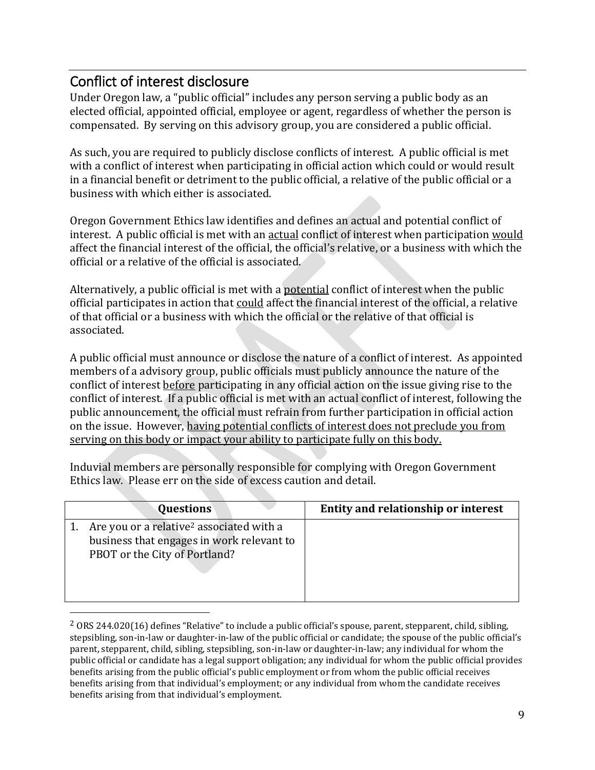## <span id="page-8-0"></span>Conflict of interest disclosure

 $\overline{a}$ 

Under Oregon law, a "public official" includes any person serving a public body as an elected official, appointed official, employee or agent, regardless of whether the person is compensated. By serving on this advisory group, you are considered a public official.

As such, you are required to publicly disclose conflicts of interest. A public official is met with a conflict of interest when participating in official action which could or would result in a financial benefit or detriment to the public official, a relative of the public official or a business with which either is associated.

Oregon Government Ethics law identifies and defines an actual and potential conflict of interest. A public official is met with an **actual** conflict of interest when participation would affect the financial interest of the official, the official's relative, or a business with which the official or a relative of the official is associated.

Alternatively, a public official is met with a potential conflict of interest when the public official participates in action that could affect the financial interest of the official, a relative of that official or a business with which the official or the relative of that official is associated.

A public official must announce or disclose the nature of a conflict of interest. As appointed members of a advisory group, public officials must publicly announce the nature of the conflict of interest before participating in any official action on the issue giving rise to the conflict of interest. If a public official is met with an actual conflict of interest, following the public announcement, the official must refrain from further participation in official action on the issue. However, having potential conflicts of interest does not preclude you from serving on this body or impact your ability to participate fully on this body.

Induvial members are personally responsible for complying with Oregon Government Ethics law. Please err on the side of excess caution and detail.

| Questions                                                                                                                          | Entity and relationship or interest |
|------------------------------------------------------------------------------------------------------------------------------------|-------------------------------------|
| Are you or a relative <sup>2</sup> associated with a<br>business that engages in work relevant to<br>PBOT or the City of Portland? |                                     |

 $2$  ORS 244.020(16) defines "Relative" to include a public official's spouse, parent, stepparent, child, sibling, stepsibling, son-in-law or daughter-in-law of the public official or candidate; the spouse of the public official's parent, stepparent, child, sibling, stepsibling, son-in-law or daughter-in-law; any individual for whom the public official or candidate has a legal support obligation; any individual for whom the public official provides benefits arising from the public official's public employment or from whom the public official receives benefits arising from that individual's employment; or any individual from whom the candidate receives benefits arising from that individual's employment.